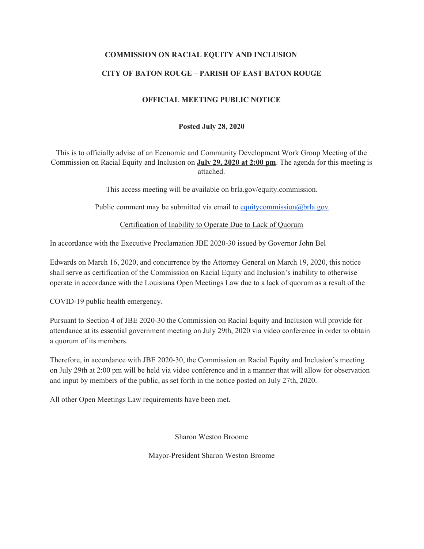### **COMMISSION ON RACIAL EQUITY AND INCLUSION**

## **CITY OF BATON ROUGE – PARISH OF EAST BATON ROUGE**

### **OFFICIAL MEETING PUBLIC NOTICE**

#### **Posted July 28, 2020**

This is to officially advise of an Economic and Community Development Work Group Meeting of the Commission on Racial Equity and Inclusion on **July 29, 2020 at 2:00 pm**. The agenda for this meeting is attached.

This access meeting will be available on brla.gov/equity.commission.

Public comment may be submitted via email to [equitycommission@brla.gov](mailto:equitycommission@brla.gov)

Certification of Inability to Operate Due to Lack of Quorum

In accordance with the Executive Proclamation JBE 2020-30 issued by Governor John Bel

Edwards on March 16, 2020, and concurrence by the Attorney General on March 19, 2020, this notice shall serve as certification of the Commission on Racial Equity and Inclusion's inability to otherwise operate in accordance with the Louisiana Open Meetings Law due to a lack of quorum as a result of the

COVID-19 public health emergency.

Pursuant to Section 4 of JBE 2020-30 the Commission on Racial Equity and Inclusion will provide for attendance at its essential government meeting on July 29th, 2020 via video conference in order to obtain a quorum of its members.

Therefore, in accordance with JBE 2020-30, the Commission on Racial Equity and Inclusion's meeting on July 29th at 2:00 pm will be held via video conference and in a manner that will allow for observation and input by members of the public, as set forth in the notice posted on July 27th, 2020.

All other Open Meetings Law requirements have been met.

Sharon Weston Broome

Mayor-President Sharon Weston Broome